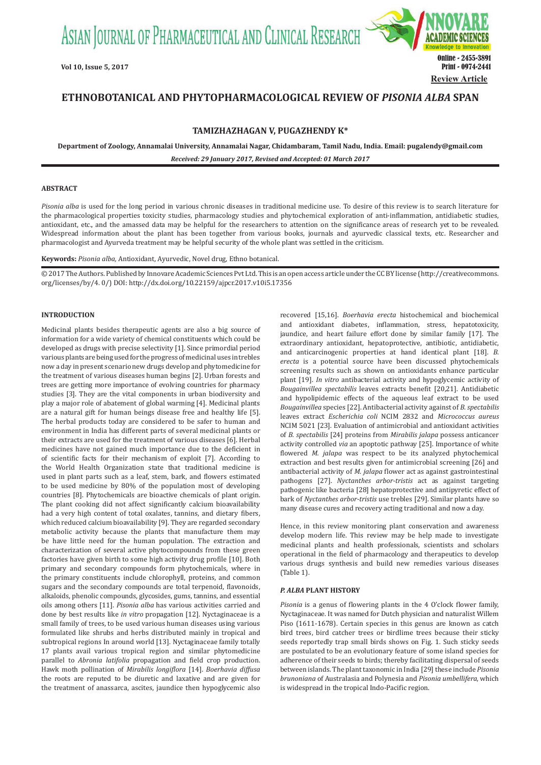ASIAN JOURNAL OF PHARMACEUTICAL AND CLINICAL RESEARCH



# **ETHNOBOTANICAL AND PHYTOPHARMACOLOGICAL REVIEW OF** *PISONIA ALBA* **SPAN**

**TAMIZHAZHAGAN V, PUGAZHENDY K\***

**Department of Zoology, Annamalai University, Annamalai Nagar, Chidambaram, Tamil Nadu, India. Email: pugalendy@gmail.com** *Received: 29 January 2017, Revised and Accepted: 01 March 2017*

# **ABSTRACT**

*Pisonia alba* is used for the long period in various chronic diseases in traditional medicine use. To desire of this review is to search literature for the pharmacological properties toxicity studies, pharmacology studies and phytochemical exploration of anti-inflammation, antidiabetic studies, antioxidant, etc., and the amassed data may be helpful for the researchers to attention on the significance areas of research yet to be revealed. Widespread information about the plant has been together from various books, journals and ayurvedic classical texts, etc. Researcher and pharmacologist and Ayurveda treatment may be helpful security of the whole plant was settled in the criticism.

**Keywords:** *Pisonia alba,* Antioxidant, Ayurvedic, Novel drug, Ethno botanical.

© 2017 The Authors. Published by Innovare Academic Sciences Pvt Ltd. This is an open access article under the CC BY license (http://creativecommons. org/licenses/by/4. 0/) DOI: http://dx.doi.org/10.22159/ajpcr.2017.v10i5.17356

# **INTRODUCTION**

Medicinal plants besides therapeutic agents are also a big source of information for a wide variety of chemical constituents which could be developed as drugs with precise selectivity [1]. Since primordial period various plants are being used for the progress of medicinal uses in trebles now a day in present scenario new drugs develop and phytomedicine for the treatment of various diseases human begins [2]. Urban forests and trees are getting more importance of evolving countries for pharmacy studies [3]. They are the vital components in urban biodiversity and play a major role of abatement of global warming [4]. Medicinal plants are a natural gift for human beings disease free and healthy life [5]. The herbal products today are considered to be safer to human and environment in India has different parts of several medicinal plants or their extracts are used for the treatment of various diseases [6]. Herbal medicines have not gained much importance due to the deficient in of scientific facts for their mechanism of exploit [7]. According to the World Health Organization state that traditional medicine is used in plant parts such as a leaf, stem, bark, and flowers estimated to be used medicine by 80% of the population most of developing countries [8]. Phytochemicals are bioactive chemicals of plant origin. The plant cooking did not affect significantly calcium bioavailability had a very high content of total oxalates, tannins, and dietary fibers, which reduced calcium bioavailability [9]. They are regarded secondary metabolic activity because the plants that manufacture them may be have little need for the human population. The extraction and characterization of several active phytocompounds from these green factories have given birth to some high activity drug profile [10]. Both primary and secondary compounds form phytochemicals, where in the primary constituents include chlorophyll, proteins, and common sugars and the secondary compounds are total terpenoid, flavonoids, alkaloids, phenolic compounds, glycosides, gums, tannins, and essential oils among others [11]. *Pisonia alba* has various activities carried and done by best results like *in vitro* propagation [12]. Nyctaginaceae is a small family of trees, to be used various human diseases using various formulated like shrubs and herbs distributed mainly in tropical and subtropical regions In around world [13]. Nyctaginaceae family totally 17 plants avail various tropical region and similar phytomedicine parallel to *Abronia latifolia* propagation and field crop production. Hawk moth pollination of *Mirabilis longiflora* [14]. *Boerhavia diffusa*  the roots are reputed to be diuretic and laxative and are given for the treatment of anassarca, ascites, jaundice then hypoglycemic also

recovered [15,16]. *Boerhavia erecta* histochemical and biochemical and antioxidant diabetes, inflammation, stress, hepatotoxicity, jaundice, and heart failure effort done by similar family [17]. The extraordinary antioxidant, hepatoprotective, antibiotic, antidiabetic, and anticarcinogenic properties at hand identical plant [18]. *B. erecta* is a potential source have been discussed phytochemicals screening results such as shown on antioxidants enhance particular plant [19]. *In vitro* antibacterial activity and hypoglycemic activity of *Bougainvillea spectabilis* leaves extracts benefit [20,21]. Antidiabetic and hypolipidemic effects of the aqueous leaf extract to be used *Bougainvillea* species [22]. Antibacterial activity against of *B. spectabilis* leaves extract *Escherichia coli* NCIM 2832 and *Micrococcus aureus*  NCIM 5021 [23]. Evaluation of antimicrobial and antioxidant activities of *B. spectabilis* [24] proteins from *Mirabilis jalapa* possess anticancer activity controlled *via* an apoptotic pathway [25]. Importance of white flowered *M. jalapa* was respect to be its analyzed phytochemical extraction and best results given for antimicrobial screening [26] and antibacterial activity of *M. jalapa* flower act as against gastrointestinal pathogens [27]. *Nyctanthes arbor-tristis* act as against targeting pathogenic like bacteria [28] hepatoprotective and antipyretic effect of bark of *Nyctanthes arbor-tristis* use trebles [29]. Similar plants have so many disease cures and recovery acting traditional and now a day.

Hence, in this review monitoring plant conservation and awareness develop modern life. This review may be help made to investigate medicinal plants and health professionals, scientists and scholars operational in the field of pharmacology and therapeutics to develop various drugs synthesis and build new remedies various diseases (Table 1).

# *P. ALBA* **PLANT HISTORY**

*Pisonia* is a genus of flowering plants in the 4 O'clock flower family, Nyctaginaceae. It was named for Dutch physician and naturalist Willem Piso (1611-1678). Certain species in this genus are known as catch bird trees, bird catcher trees or birdlime trees because their sticky seeds reportedly trap small birds shows on Fig. 1. Such sticky seeds are postulated to be an evolutionary feature of some island species for adherence of their seeds to birds; thereby facilitating dispersal of seeds between islands. The plant taxonomic in India [29] these include *Pisonia brunoniana* of Australasia and Polynesia and *Pisonia umbellifera*, which is widespread in the tropical Indo-Pacific region.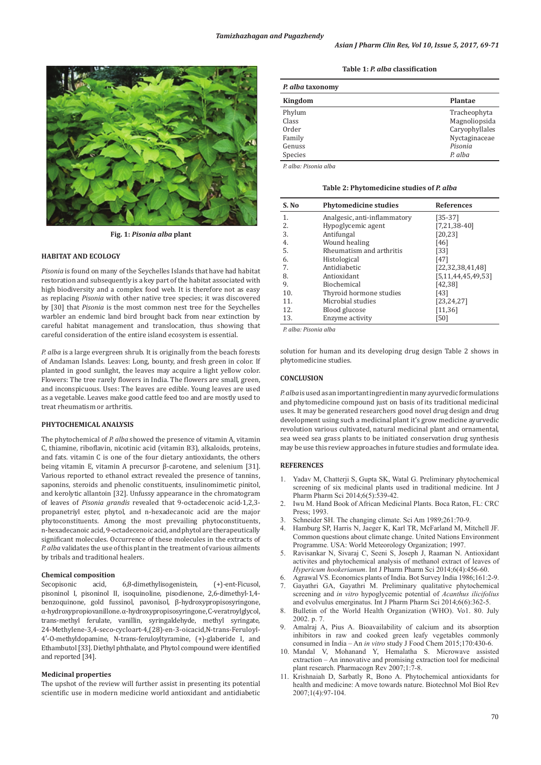

**Fig. 1:** *Pisonia alba* **plant**

# **HABITAT AND ECOLOGY**

*Pisonia* is found on many of the Seychelles Islands that have had habitat restoration and subsequently is a key part of the habitat associated with high biodiversity and a complex food web. It is therefore not as easy as replacing *Pisonia* with other native tree species; it was discovered by [30] that *Pisonia* is the most common nest tree for the Seychelles warbler an endemic land bird brought back from near extinction by careful habitat management and translocation, thus showing that careful consideration of the entire island ecosystem is essential.

*P. alba* is a large evergreen shrub. It is originally from the beach forests of Andaman Islands. Leaves: Long, bounty, and fresh green in color. If planted in good sunlight, the leaves may acquire a light yellow color. Flowers: The tree rarely flowers in India. The flowers are small, green, and inconspicuous. Uses: The leaves are edible. Young leaves are used as a vegetable. Leaves make good cattle feed too and are mostly used to treat rheumatism or arthritis.

# **PHYTOCHEMICAL ANALYSIS**

The phytochemical of *P. alba* showed the presence of vitamin A, vitamin C, thiamine, riboflavin, nicotinic acid (vitamin B3), alkaloids, proteins, and fats. vitamin C is one of the four dietary antioxidants, the others being vitamin E, vitamin A precursor β-carotene, and selenium [31]. Various reported to ethanol extract revealed the presence of tannins, saponins, steroids and phenolic constituents, insulinomimetic pinitol, and kerolytic allantoin [32]. Unfussy appearance in the chromatogram of leaves of *Pisonia grandis* revealed that 9-octadecenoic acid-1,2,3 propanetriyl ester, phytol, and n-hexadecanoic acid are the major phytoconstituents. Among the most prevailing phytoconstituents, n-hexadecanoic acid, 9-octadecenoic acid, and phytol are therapeutically significant molecules. Occurrence of these molecules in the extracts of *P. alba* validates the use of this plant in the treatment of various ailments by tribals and traditional healers.

# **Chemical composition**

Secopisonic acid, 6,8-dimethylisogenistein, (+)-ent-Ficusol, pisoninol I, pisoninol II, isoquinoline, pisodienone, 2,6-dimethyl-1,4 benzoquinone, gold fussinol, pavonisol, β-hydroxypropisosyringone, α-hydroxypropiovanillone. α-hydroxypropisosyringone, C-veratroylglycol, trans-methyl ferulate, vanillin, syringaldehyde, methyl syringate, 24-Methylene-3,4-seco-cycloart-4,(28)-en-3-oicacid,N-trans-Feruloyl-4′-O-methyldopamine, N-trans-feruloyltyramine, (+)-glaberide I, and Ethambutol [33]. Diethyl phthalate, and Phytol compound were identified and reported [34].

#### **Medicinal properties**

The upshot of the review will further assist in presenting its potential scientific use in modern medicine world antioxidant and antidiabetic

**Table 1:** *P. alba* **classification**

| P. alba taxonomy |                |  |
|------------------|----------------|--|
| Kingdom          | Plantae        |  |
| Phylum           | Tracheophyta   |  |
| Class            | Magnoliopsida  |  |
| Order            | Caryophyllales |  |
| Family           | Nyctaginaceae  |  |
| Genuss           | Pisonia        |  |
| Species          | P. alba        |  |

*P. alba: Pisonia alba*

**Table 2: Phytomedicine studies of** *P. alba*

| S. No | <b>Phytomedicine studies</b> | <b>References</b>    |
|-------|------------------------------|----------------------|
| 1.    | Analgesic, anti-inflammatory | $[35-37]$            |
| 2.    | Hypoglycemic agent           | $[7,21,38-40]$       |
| 3.    | Antifungal                   | [20, 23]             |
| 4.    | Wound healing                | [46]                 |
| 5.    | Rheumatism and arthritis     | [33]                 |
| 6.    | Histological                 | $[47]$               |
| 7.    | Antidiabetic                 | [22, 32, 38, 41, 48] |
| 8.    | Antioxidant                  | [5,11,44,45,49,53]   |
| 9.    | Biochemical                  | [42, 38]             |
| 10.   | Thyroid hormone studies      | [43]                 |
| 11.   | Microbial studies            | [23, 24, 27]         |
| 12.   | Blood glucose                | [11, 36]             |
| 13.   | Enzyme activity              | [50]                 |

*P. alba: Pisonia alba*

solution for human and its developing drug design Table 2 shows in phytomedicine studies.

# **CONCLUSION**

*P. alba* is used as an important ingredient in many ayurvedic formulations and phytomedicine compound just on basis of its traditional medicinal uses. It may be generated researchers good novel drug design and drug development using such a medicinal plant it's grow medicine ayurvedic revolution various cultivated, natural medicinal plant and ornamental, sea weed sea grass plants to be initiated conservation drug synthesis may be use this review approaches in future studies and formulate idea.

#### **REFERENCES**

- 1. Yadav M, Chatterji S, Gupta SK, Watal G. Preliminary phytochemical screening of six medicinal plants used in traditional medicine. Int J Pharm Pharm Sci 2014;6(5):539-42.
- 2. Iwu M. Hand Book of African Medicinal Plants. Boca Raton, FL: CRC Press; 1993.
- 3. Schneider SH. The changing climate. Sci Am 1989;261:70-9.
- 4. Hamburg SP, Harris N, Jaeger K, Karl TR, McFarland M, Mitchell JF. Common questions about climate change. United Nations Environment Programme. USA: World Meteorology Organization; 1997.
- 5. Ravisankar N, Sivaraj C, Seeni S, Joseph J, Raaman N. Antioxidant activites and phytochemical analysis of methanol extract of leaves of *Hypericum hookerianum*. Int J Pharm Pharm Sci 2014;6(4):456-60.
- 6. Agrawal VS. Economics plants of India. Bot Survey India 1986;161:2-9.
- 7. Gayathri GA, Gayathri M. Preliminary qualitative phytochemical screening and *in vitro* hypoglycemic potential of *Acanthus ilicifolius* and evolvulus emerginatus. Int J Pharm Pharm Sci 2014;6(6):362-5.
- 8. Bulletin of the World Health Organization (WHO). Vo1. 80. July 2002. p. 7.
- 9. Amalraj A, Pius A. Bioavailability of calcium and its absorption inhibitors in raw and cooked green leafy vegetables commonly consumed in India – An *in vitro* study J Food Chem 2015;170:430-6.
- 10. Mandal V, Mohanand Y, Hemalatha S. Microwave assisted extraction – An innovative and promising extraction tool for medicinal plant research. Pharmacogn Rev 2007;1:7-8.
- 11. Krishnaiah D, Sarbatly R, Bono A. Phytochemical antioxidants for health and medicine: A move towards nature. Biotechnol Mol Biol Rev 2007;1(4):97-104.